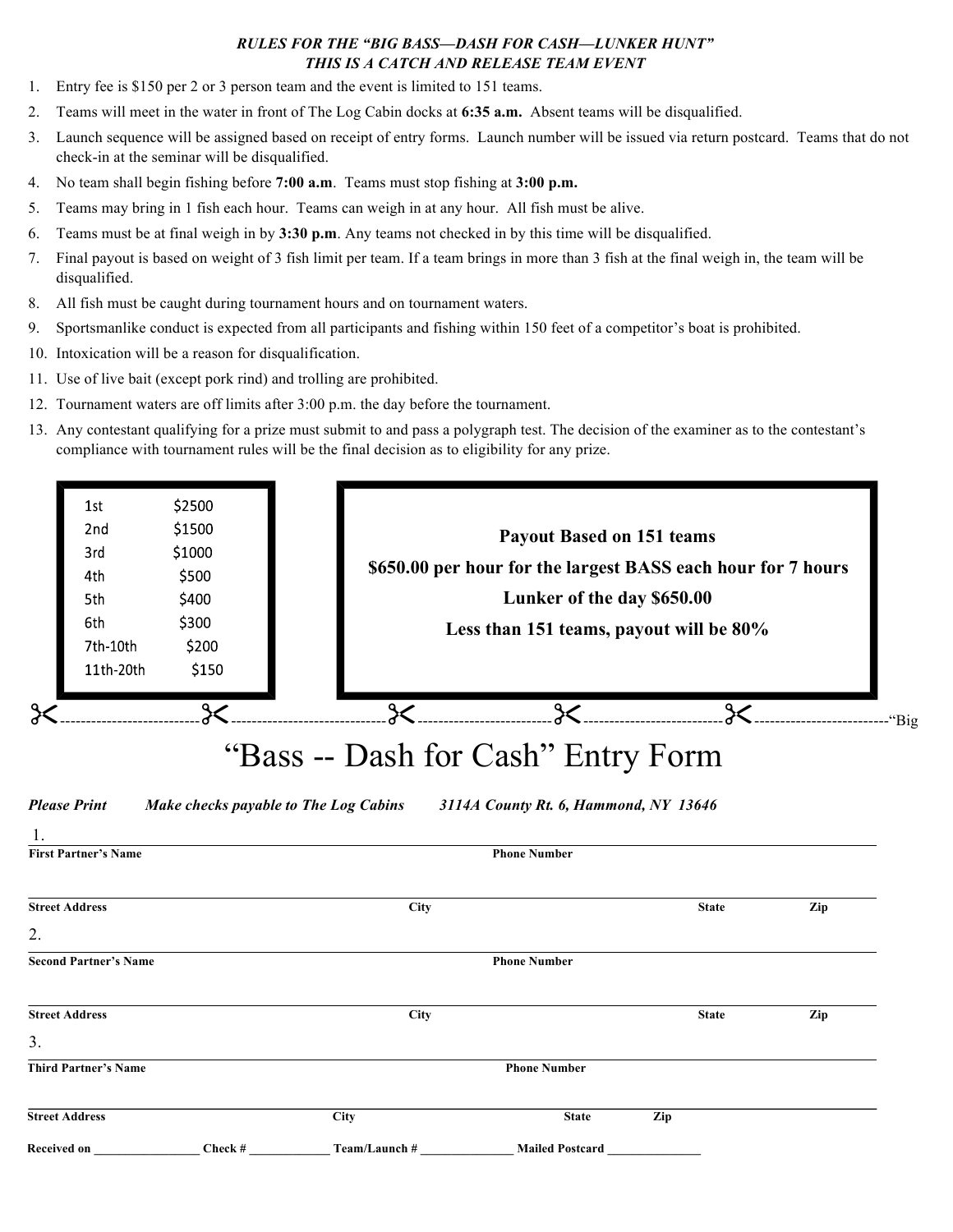## *RULES FOR THE "BIG BASS—DASH FOR CASH—LUNKER HUNT" THIS IS A CATCH AND RELEASE TEAM EVENT*

- 1. Entry fee is \$150 per 2 or 3 person team and the event is limited to 151 teams.
- 2. Teams will meet in the water in front of The Log Cabin docks at **6:35 a.m.** Absent teams will be disqualified.
- 3. Launch sequence will be assigned based on receipt of entry forms. Launch number will be issued via return postcard. Teams that do not check-in at the seminar will be disqualified.
- 4. No team shall begin fishing before **7:00 a.m**. Teams must stop fishing at **3:00 p.m.**
- 5. Teams may bring in 1 fish each hour. Teams can weigh in at any hour. All fish must be alive.
- 6. Teams must be at final weigh in by **3:30 p.m**. Any teams not checked in by this time will be disqualified.
- 7. Final payout is based on weight of 3 fish limit per team. If a team brings in more than 3 fish at the final weigh in, the team will be disqualified.
- 8. All fish must be caught during tournament hours and on tournament waters.
- 9. Sportsmanlike conduct is expected from all participants and fishing within 150 feet of a competitor's boat is prohibited.
- 10. Intoxication will be a reason for disqualification.
- 11. Use of live bait (except pork rind) and trolling are prohibited.
- 12. Tournament waters are off limits after 3:00 p.m. the day before the tournament.
- 13. Any contestant qualifying for a prize must submit to and pass a polygraph test. The decision of the examiner as to the contestant's compliance with tournament rules will be the final decision as to eligibility for any prize.

| 1st<br>2 <sub>nd</sub><br>3rd<br>4th<br>5th<br>6th<br>7th-10th<br>11th-20th | \$2500<br>\$1500<br>\$1000<br>\$500<br>\$400<br>\$300<br>\$200<br>\$150 |                                                                                              | <b>Payout Based on 151 teams</b><br>\$650.00 per hour for the largest BASS each hour for 7 hours<br>Lunker of the day \$650.00<br>Less than 151 teams, payout will be 80% |                                                              |              |     |  |
|-----------------------------------------------------------------------------|-------------------------------------------------------------------------|----------------------------------------------------------------------------------------------|---------------------------------------------------------------------------------------------------------------------------------------------------------------------------|--------------------------------------------------------------|--------------|-----|--|
| $\approx$                                                                   | $\chi$                                                                  |                                                                                              |                                                                                                                                                                           |                                                              |              |     |  |
| <b>Please Print</b><br>1.<br><b>First Partner's Name</b>                    |                                                                         | "Bass -- Dash for Cash" Entry Form<br><b>Make checks payable to The Log Cabins</b>           |                                                                                                                                                                           | 3114A County Rt. 6, Hammond, NY 13646<br><b>Phone Number</b> |              |     |  |
| <b>Street Address</b>                                                       | City                                                                    |                                                                                              |                                                                                                                                                                           |                                                              | <b>State</b> | Zip |  |
| 2.                                                                          |                                                                         |                                                                                              |                                                                                                                                                                           |                                                              |              |     |  |
| <b>Second Partner's Name</b>                                                |                                                                         |                                                                                              |                                                                                                                                                                           | <b>Phone Number</b>                                          |              |     |  |
| <b>Street Address</b>                                                       | <b>City</b>                                                             |                                                                                              |                                                                                                                                                                           |                                                              | <b>State</b> | Zip |  |
| 3.                                                                          |                                                                         |                                                                                              |                                                                                                                                                                           |                                                              |              |     |  |
| <b>Third Partner's Name</b>                                                 |                                                                         |                                                                                              |                                                                                                                                                                           | <b>Phone Number</b>                                          |              |     |  |
| <b>Street Address</b>                                                       | City                                                                    |                                                                                              |                                                                                                                                                                           | <b>State</b>                                                 | Zip          |     |  |
|                                                                             |                                                                         | Received on _______________Check #____________Team/Launch # _________________Mailed Postcard |                                                                                                                                                                           |                                                              |              |     |  |